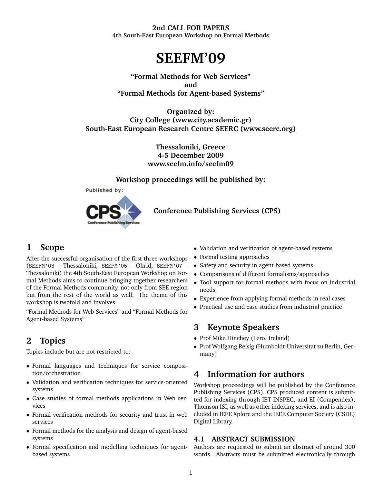#### **2nd CALL FOR PAPERS 4th South-East European Workshop on Formal Methods**

**SEEFM'09**

**"Formal Methods for Web Services" and "Formal Methods for Agent-based Systems"**

**Organized by: City College (www.city.academic.gr) South-East European Research Centre SEERC (www.seerc.org)**

> **Thessaloniki, Greece 4-5 December 2009 www.seefm.info/seefm09**

**Workshop proceedings will be published by:**



**Conference Publishing Services (CPS)**

### **1 Scope**

After the successful organisation of the first three workshops (SEEFM'03 - Thessaloniki, SEEFM'05 - Ohrid, SEEFM'07 - Thessaloniki) the 4th South-East European Workshop on Formal Methods aims to continue bringing together researchers of the Formal Methods community, not only from SEE region but from the rest of the world as well. The theme of this workshop is twofold and involves:

"Formal Methods for Web Services" and "Formal Methods for Agent-based Systems"

# **2 Topics**

Topics include but are not restricted to:

- Formal languages and techniques for service composition/orchestration
- Validation and verification techniques for service-oriented systems
- Case studies of formal methods applications in Web services
- Formal verification methods for security and trust in web services
- Formal methods for the analysis and design of agent-based systems
- Formal specification and modelling techniques for agentbased systems
- Validation and verification of agent-based systems
- Formal testing approaches
- Safety and security in agent-based systems
- Comparisons of different formalisms/approaches
- Tool support for formal methods with focus on industrial needs
- Experience from applying formal methods in real cases
- Practical use and case studies from industrial practice

## **3 Keynote Speakers**

- Prof Mike Hinchey (Lero, Ireland)
- Prof Wolfgang Reisig (Humboldt-Universitat zu Berlin, Germany)

# **4 Information for authors**

Workshop proceedings will be published by the Conference Publishing Services (CPS). CPS produced content is submitted for indexing through IET INSPEC, and EI (Compendex), Thomson ISI, as well as other indexing services, and is also included in IEEE Xplore and the IEEE Computer Society (CSDL) Digital Library.

#### **4.1 ABSTRACT SUBMISSION**

Authors are requested to submit an abstract of around 300 words. Abstracts must be submitted electronically through